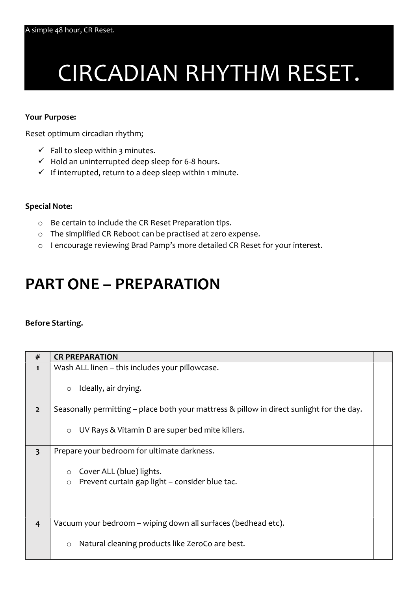# CIRCADIAN RHYTHM RESET.

#### Your Purpose:

Reset optimum circadian rhythm;

- $\checkmark$  Fall to sleep within 3 minutes.
- $\checkmark$  Hold an uninterrupted deep sleep for 6-8 hours.
- $\checkmark$  If interrupted, return to a deep sleep within 1 minute.

### Special Note:

- o Be certain to include the CR Reset Preparation tips.
- o The simplified CR Reboot can be practised at zero expense.
- o I encourage reviewing Brad Pamp's more detailed CR Reset for your interest.

## PART ONE – PREPARATION

#### Before Starting.

| #                       | <b>CR PREPARATION</b>                                                                     |  |
|-------------------------|-------------------------------------------------------------------------------------------|--|
| $\mathbf{1}$            | Wash ALL linen - this includes your pillowcase.                                           |  |
|                         | Ideally, air drying.<br>$\circ$                                                           |  |
| $\overline{2}$          | Seasonally permitting – place both your mattress & pillow in direct sunlight for the day. |  |
|                         | UV Rays & Vitamin D are super bed mite killers.<br>$\circ$                                |  |
| $\overline{\mathbf{3}}$ | Prepare your bedroom for ultimate darkness.                                               |  |
|                         | Cover ALL (blue) lights.<br>$\circ$                                                       |  |
|                         | Prevent curtain gap light - consider blue tac.<br>$\circ$                                 |  |
| $\overline{4}$          | Vacuum your bedroom – wiping down all surfaces (bedhead etc).                             |  |
|                         | Natural cleaning products like ZeroCo are best.<br>$\circ$                                |  |